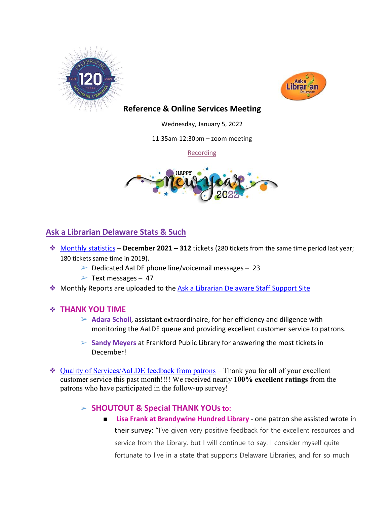



# **Reference & Online Services Meeting**

Wednesday, January 5, 2022

11:35am-12:30pm – zoom meeting

[Recording](https://youtu.be/MyxaqjHjhCE)



# **Ask a Librarian Delaware Stats & Such**

- ❖ [Monthly statistics](https://aalstaff.lib.de.us/home/reports/fy22-monthly-reports/) **December 2021 – 312** tickets (280 tickets from the same time period last year; 180 tickets same time in 2019).
	- $\triangleright$  Dedicated AaLDE phone line/voicemail messages 23
	- $\triangleright$  Text messages 47
- ❖ Monthly Reports are uploaded to the [Ask a Librarian Delaware Staff Support Site](https://aalstaff.lib.de.us/home/reports/fy21-monthly-reports/)

#### ❖ **THANK YOU TIME**

- ➢ **Adara Scholl**, assistant extraordinaire, for her efficiency and diligence with monitoring the AaLDE queue and providing excellent customer service to patrons.
- ➢ **Sandy Meyers** at Frankford Public Library for answering the most tickets in December!
- ❖ [Quality of Services/](https://ask.springshare.com/libanswers/faq/2830)AaLDE feedback from patrons Thank you for all of your excellent customer service this past month!!!! We received nearly **100% excellent ratings** from the patrons who have participated in the follow-up survey!

# ➢ **SHOUTOUT & Special THANK YOUsto:**

■ **Lisa Frank at Brandywine Hundred Library** - one patron she assisted wrote in their survey: "I've given very positive feedback for the excellent resources and service from the Library, but I will continue to say: I consider myself quite fortunate to live in a state that supports Delaware Libraries, and for so much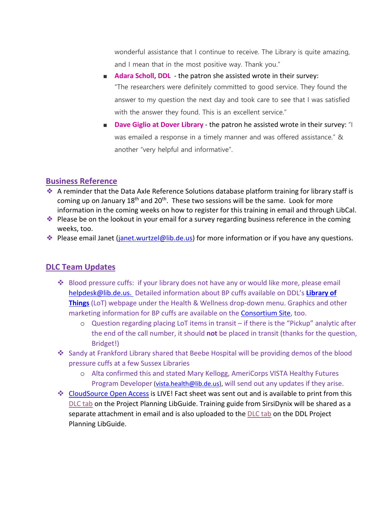wonderful assistance that I continue to receive. The Library is quite amazing, and I mean that in the most positive way. Thank you."

- **Adara Scholl, DDL** the patron she assisted wrote in their survey: "The researchers were definitely committed to good service. They found the answer to my question the next day and took care to see that I was satisfied with the answer they found. This is an excellent service."
- **Dave Giglio at Dover Library** the patron he assisted wrote in their survey: "I was emailed a response in a timely manner and was offered assistance." & another "very helpful and informative".

### **Business Reference**

- ❖ A reminder that the Data Axle Reference Solutions database platform training for library staff is coming up on January 18<sup>th</sup> and 20<sup>th</sup>. These two sessions will be the same. Look for more information in the coming weeks on how to register for this training in email and through LibCal.
- ❖ Please be on the lookout in your email for a survey regarding business reference in the coming weeks, too.
- **Example 20** Please email Janet (*janet.wurtzel@lib.de.us*) for more information or if you have any questions.

# **DLC Team Updates**

- Blood pressure cuffs: if your library does not have any or would like more, please email [helpdesk@lib.de.us.](mailto:helpdesk@lib.de.us) Detailed information about BP cuffs available on DDL's **[Library of](https://lib.de.us/things/)  [Things](https://lib.de.us/things/)** (LoT) webpage under the Health & Wellness drop-down menu. Graphics and other marketing information for BP cuffs are available on the [Consortium Site,](https://consortium.lib.de.us/2021/08/05/library-of-things/) too.
	- o Question regarding placing LoT items in transit if there is the "Pickup" analytic after the end of the call number, it should **not** be placed in transit (thanks for the question, Bridget!)
- Sandy at Frankford Library shared that Beebe Hospital will be providing demos of the blood pressure cuffs at a few Sussex Libraries
	- o Alta confirmed this and stated Mary Kellogg, AmeriCorps VISTA Healthy Futures Program Developer [\(vista.health@lib.de.us\)](mailto:vista.health@lib.de.us), will send out any updates if they arise.
- [CloudSource Open Access](https://dlc.lib.de.us/client/en_US/default/) is LIVE! Fact sheet was sent out and is available to print from this [DLC tab](https://guides.lib.de.us/projectplanning/dlc) on the Project Planning LibGuide. Training guide from SirsiDynix will be shared as a separate attachment in email and is also uploaded to the [DLC tab](https://guides.lib.de.us/projectplanning/dlc) on the DDL Project Planning LibGuide.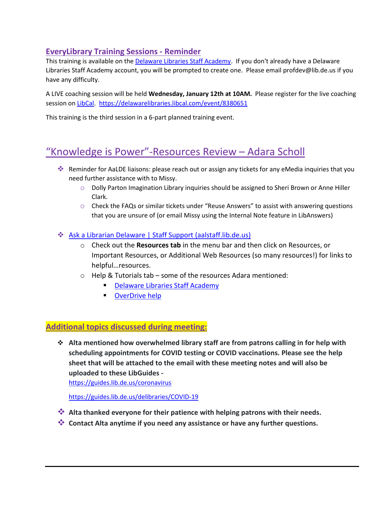# **EveryLibrary Training Sessions - Reminder**

This training is available on the [Delaware Libraries Staff Academy.](https://my.nicheacademy.com/delawarelibrariesstaffacademy/course/41628) If you don't already have a Delaware Libraries Staff Academy account, you will be prompted to create one. Please email profdev@lib.de.us if you have any difficulty.

A LIVE coaching session will be held **Wednesday, January 12th at 10AM.** Please register for the live coaching session on [LibCal.](https://delawarelibraries.libcal.com/event/8380651) <https://delawarelibraries.libcal.com/event/8380651>

This training is the third session in a 6-part planned training event.

# "Knowledge is Power"-Resources Review – Adara Scholl

- Reminder for AaLDE liaisons: please reach out or assign any tickets for any eMedia inquiries that you need further assistance with to Missy.
	- o Dolly Parton Imagination Library inquiries should be assigned to Sheri Brown or Anne Hiller Clark.
	- o Check the FAQs or similar tickets under "Reuse Answers" to assist with answering questions that you are unsure of (or email Missy using the Internal Note feature in LibAnswers)

#### [Ask a Librarian Delaware | Staff Support \(aalstaff.lib.de.us\)](https://aalstaff.lib.de.us/)

- o Check out the **Resources tab** in the menu bar and then click on Resources, or Important Resources, or Additional Web Resources (so many resources!) for links to helpful…resources.
- o Help & Tutorials tab some of the resources Adara mentioned:
	- **[Delaware Libraries Staff Academy](https://my.nicheacademy.com/delawarelibrariesstaffacademy?category=82)**
	- [OverDrive help](https://help.overdrive.com/en-us/home.htm)

#### **Additional topics discussed during meeting:**

 **Alta mentioned how overwhelmed library staff are from patrons calling in for help with scheduling appointments for COVID testing or COVID vaccinations. Please see the help sheet that will be attached to the email with these meeting notes and will also be uploaded to these LibGuides -**

<https://guides.lib.de.us/coronavirus>

<https://guides.lib.de.us/delibraries/COVID-19>

- **Alta thanked everyone for their patience with helping patrons with their needs.**
- **Contact Alta anytime if you need any assistance or have any further questions.**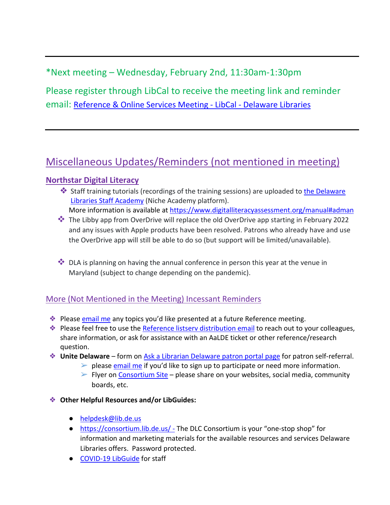# \*Next meeting – Wednesday, February 2nd, 11:30am-1:30pm

Please register through LibCal to receive the meeting link and reminder email: [Reference & Online Services Meeting -](https://delawarelibraries.libcal.com/event/8490707) LibCal - Delaware Libraries

# Miscellaneous Updates/Reminders (not mentioned in meeting)

# **[Northstar Digital Literacy](https://lib.de.us/northstar/)**

- ❖ Staff training tutorials (recordings of the training sessions) are uploaded to [the Delaware](https://my.nicheacademy.com/delawarelibrariesstaffacademy?category=11828)  [Libraries Staff Academy](https://my.nicheacademy.com/delawarelibrariesstaffacademy?category=11828) (Niche Academy platform).
	- More information is available a[t https://www.digitalliteracyassessment.org/manual#adman](https://www.digitalliteracyassessment.org/manual#adman)
- The Libby app from OverDrive will replace the old OverDrive app starting in February 2022 and any issues with Apple products have been resolved. Patrons who already have and use the OverDrive app will still be able to do so (but support will be limited/unavailable).
- $\clubsuit$  DLA is planning on having the annual conference in person this year at the venue in Maryland (subject to change depending on the pandemic).

# More (Not Mentioned in the Meeting) Incessant Reminders

- **Example 25 Please [email me](mailto:missy.williams@lib.de.us)** any topics you'd like presented at a future Reference meeting.
- ❖ Please feel free to use the [Reference listserv distribution email](mailto:reference@listserv.lib.de.us) to reach out to your colleagues, share information, or ask for assistance with an AaLDE ticket or other reference/research question.
- ❖ **Unite Delaware** form on [Ask a Librarian Delaware patron portal page](https://answers.delawarelibraries.org/) for patron self-referral.
	- $\triangleright$  please [email me](mailto:missy.williams@lib.de.us) if you'd like to sign up to participate or need more information.  $\triangleright$  Flyer on [Consortium Site](https://consortium.lib.de.us/marketing/) – please share on your websites, social media, community
		- boards, etc.
- ❖ **Other Helpful Resources and/or LibGuides:**
	- [helpdesk@lib.de.us](mailto:helpdesk@lib.de.us)
	- <https://consortium.lib.de.us/> The DLC Consortium is your "one-stop shop" for information and marketing materials for the available resources and services Delaware Libraries offers. Password protected.
	- [COVID-19 LibGuide](https://guides.lib.de.us/delibraries/COVID-19) for staff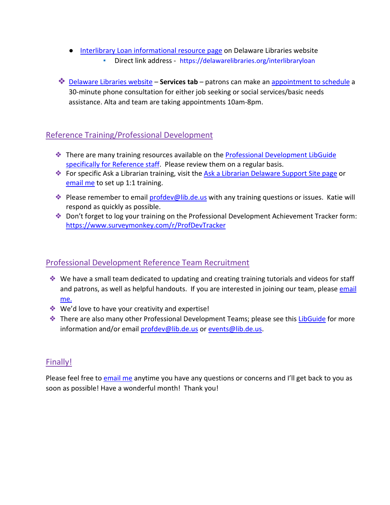- [Interlibrary Loan informational resource page](https://lib.de.us/interlibraryloan/) on Delaware Libraries website Direct link address - <https://delawarelibraries.org/interlibraryloan>
- ❖ [Delaware Libraries website](https://lib.de.us/) **Services tab** patrons can make an [appointment to schedule](https://delawarelibraries.libcal.com/appointments/) a 30-minute phone consultation for either job seeking or social services/basic needs assistance. Alta and team are taking appointments 10am-8pm.

# Reference Training/Professional Development

- ❖ There are many training resources available on the [Professional Development LibGuide](https://guides.lib.de.us/c.php?g=386101&p=2619930)  [specifically for Reference staff.](https://guides.lib.de.us/c.php?g=386101&p=2619930) Please review them on a regular basis.
- **External Follow Formula** Formula Separation of Sipersian Selaware Support Site page or **Sideman Separation** or Site page or [email me](mailto:missy.williams@lib.de.us) to set up 1:1 training.
- ◆ Please remember to email [profdev@lib.de.us](mailto:profdev@lib.de.us) with any training questions or issues. Katie will respond as quickly as possible.
- ❖ Don't forget to log your training on the Professional Development Achievement Tracker form: <https://www.surveymonkey.com/r/ProfDevTracker>

# Professional Development Reference Team Recruitment

- ❖ We have a small team dedicated to updating and creating training tutorials and videos for staff and patrons, as well as helpful handouts. If you are interested in joining our team, please email [me.](mailto:missy.williams@lib.de.us)
- ❖ We'd love to have your creativity and expertise!
- **Example 25 There are also many other Professional Development Teams; please see this [LibGuide](https://guides.lib.de.us/profdevteam) for more** information and/or email [profdev@lib.de.us](mailto:profdev@lib.de.us) or [events@lib.de.us.](mailto:events@lib.de.us)

# Finally!

Please feel free to **email me** anytime you have any questions or concerns and I'll get back to you as soon as possible! Have a wonderful month! Thank you!